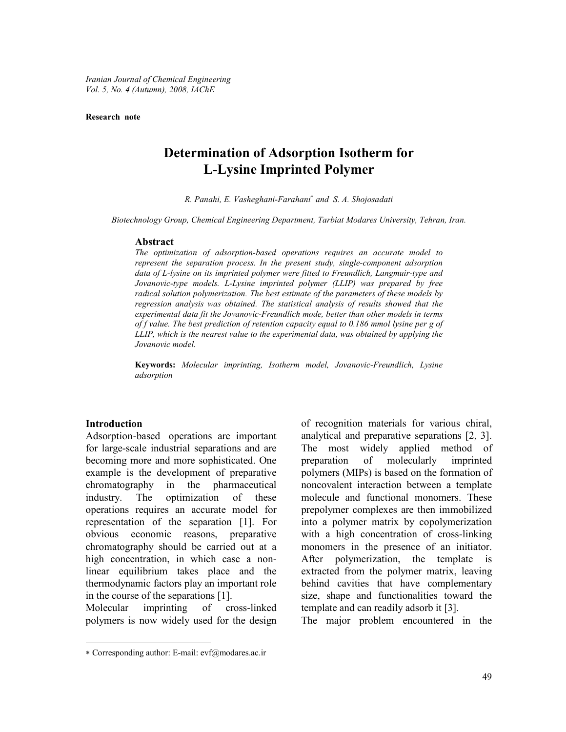Iranian Journal of Chemical Engineering Vol. 5, No. 4 (Autumn), 2008, IAChE

**Research note** 

# **Determination of Adsorption Isotherm for L-Lysine Imprinted Polymer**

R. Panahi, E. Vasheghani-Farahani\* and S. A. Shojosadati

Biotechnology Group, Chemical Engineering Department, Tarbiat Modares University, Tehran, Iran.

#### Abstract

The optimization of adsorption-based operations requires an accurate model to represent the separation process. In the present study, single-component adsorption data of L-lysine on its imprinted polymer were fitted to Freundlich, Langmuir-type and Jovanovic-type models. L-Lysine imprinted polymer (LLIP) was prepared by free radical solution polymerization. The best estimate of the parameters of these models by regression analysis was obtained. The statistical analysis of results showed that the experimental data fit the Jovanovic-Freundlich mode, better than other models in terms of f value. The best prediction of retention capacity equal to  $0.186$  mmol lysine per g of LLIP, which is the nearest value to the experimental data, was obtained by applying the Jovanovic model.

Keywords: Molecular imprinting, Isotherm model, Jovanovic-Freundlich, Lysine adsorption

#### **Introduction**

Adsorption-based operations are important for large-scale industrial separations and are becoming more and more sophisticated. One example is the development of preparative chromatography in the pharmaceutical industry. The optimization of these operations requires an accurate model for representation of the separation [1]. For obvious economic reasons, preparative chromatography should be carried out at a high concentration, in which case a nonlinear equilibrium takes place and the thermodynamic factors play an important role in the course of the separations [1].

cross-linked Molecular imprinting of polymers is now widely used for the design

of recognition materials for various chiral, analytical and preparative separations [2, 3]. The most widely applied method of of molecularly preparation imprinted polymers (MIPs) is based on the formation of noncovalent interaction between a template molecule and functional monomers. These prepolymer complexes are then immobilized into a polymer matrix by copolymerization with a high concentration of cross-linking monomers in the presence of an initiator. After polymerization, the template is extracted from the polymer matrix, leaving behind cavities that have complementary size, shape and functionalities toward the template and can readily adsorb it [3].

The major problem encountered in the

<sup>\*</sup> Corresponding author: E-mail: evf@modares.ac.ir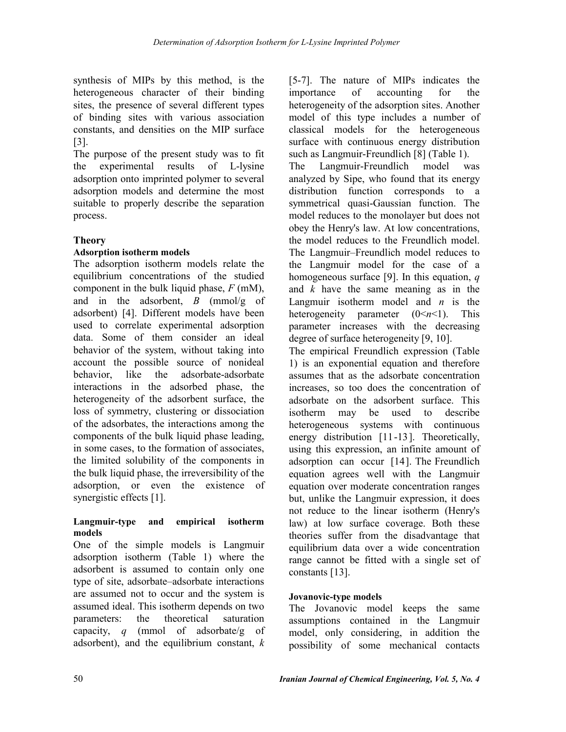synthesis of MIPs by this method, is the heterogeneous character of their binding sites, the presence of several different types of binding sites with various association constants, and densities on the MIP surface  $\left[3\right]$ 

The purpose of the present study was to fit the experimental results of L-lysine adsorption onto imprinted polymer to several adsorption models and determine the most suitable to properly describe the separation process.

## **Theory**

## **Adsorption isotherm models**

The adsorption isotherm models relate the equilibrium concentrations of the studied component in the bulk liquid phase,  $F$  (mM), and in the adsorbent,  $B$  (mmol/g of adsorbent) [4]. Different models have been used to correlate experimental adsorption data. Some of them consider an ideal behavior of the system, without taking into account the possible source of nonideal behavior. like the adsorbate-adsorbate interactions in the adsorbed phase, the heterogeneity of the adsorbent surface, the loss of symmetry, clustering or dissociation of the adsorbates, the interactions among the components of the bulk liquid phase leading, in some cases, to the formation of associates, the limited solubility of the components in the bulk liquid phase, the irreversibility of the adsorption, or even the existence of synergistic effects [1].

### Langmuir-type and empirical isotherm models

One of the simple models is Langmuir adsorption isotherm (Table 1) where the adsorbent is assumed to contain only one type of site, adsorbate–adsorbate interactions are assumed not to occur and the system is assumed ideal. This isotherm depends on two theoretical parameters: the saturation capacity, q (mmol of adsorbate/g of adsorbent), and the equilibrium constant,  $k$  [5-7]. The nature of MIPs indicates the accounting importance of for the heterogeneity of the adsorption sites. Another model of this type includes a number of classical models for the heterogeneous surface with continuous energy distribution such as Langmuir-Freundlich [8] (Table 1).

The Langmuir-Freundlich model was analyzed by Sipe, who found that its energy distribution function corresponds to a symmetrical quasi-Gaussian function. The model reduces to the monolayer but does not obey the Henry's law. At low concentrations, the model reduces to the Freundlich model. The Langmuir–Freundlich model reduces to the Langmuir model for the case of a homogeneous surface [9]. In this equation,  $q$ and  $k$  have the same meaning as in the Langmuir isotherm model and  $n$  is the heterogeneity parameter  $(0 \le n \le 1)$ . This parameter increases with the decreasing degree of surface heterogeneity [9, 10].

The empirical Freundlich expression (Table 1) is an exponential equation and therefore assumes that as the adsorbate concentration increases, so too does the concentration of adsorbate on the adsorbent surface. This isotherm may be used to describe heterogeneous systems with continuous energy distribution [11-13]. Theoretically, using this expression, an infinite amount of adsorption can occur [14]. The Freundlich equation agrees well with the Langmuir equation over moderate concentration ranges but, unlike the Langmuir expression, it does not reduce to the linear isotherm (Henry's law) at low surface coverage. Both these theories suffer from the disadvantage that equilibrium data over a wide concentration range cannot be fitted with a single set of constants [13].

## **Jovanovic-type models**

The Jovanovic model keeps the same assumptions contained in the Langmuir model, only considering, in addition the possibility of some mechanical contacts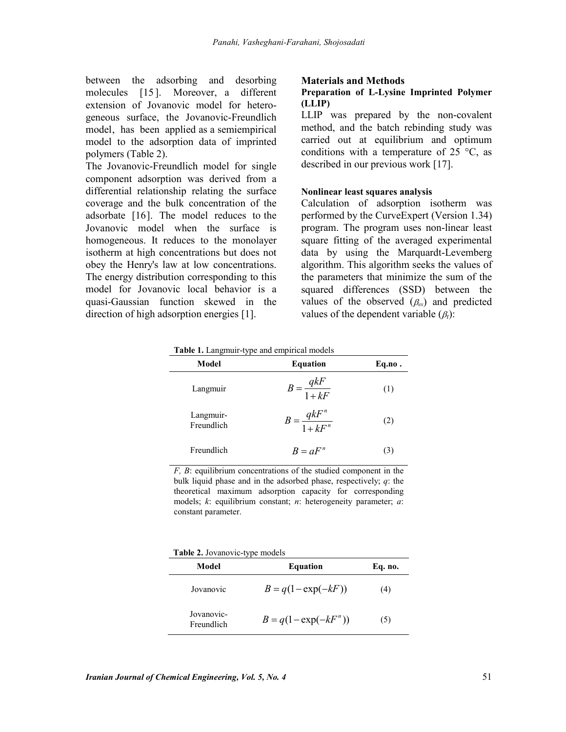between the adsorbing and desorbing molecules [15]. Moreover, a different extension of Jovanovic model for heterogeneous surface, the Jovanovic-Freundlich model, has been applied as a semiempirical model to the adsorption data of imprinted polymers (Table 2).

The Jovanovic-Freundlich model for single component adsorption was derived from a differential relationship relating the surface coverage and the bulk concentration of the adsorbate [16]. The model reduces to the Jovanovic model when the surface is homogeneous. It reduces to the monolayer isotherm at high concentrations but does not obey the Henry's law at low concentrations. The energy distribution corresponding to this model for Jovanovic local behavior is a quasi-Gaussian function skewed in the direction of high adsorption energies [1].

#### **Materials and Methods**

### Preparation of L-Lysine Imprinted Polymer (LLIP)

LLIP was prepared by the non-covalent method, and the batch rebinding study was carried out at equilibrium and optimum conditions with a temperature of 25  $^{\circ}$ C, as described in our previous work [17].

#### Nonlinear least squares analysis

Calculation of adsorption isotherm was performed by the CurveExpert (Version 1.34) program. The program uses non-linear least square fitting of the averaged experimental data by using the Marquardt-Levemberg algorithm. This algorithm seeks the values of the parameters that minimize the sum of the squared differences (SSD) between the values of the observed  $(\beta_{\rm cr})$  and predicted values of the dependent variable  $(\beta_t)$ :

| <b>rable 1.</b> Langmun-type and empirical models |                              |              |  |  |  |
|---------------------------------------------------|------------------------------|--------------|--|--|--|
| Model                                             | <b>Equation</b>              | Eq.no.       |  |  |  |
| Langmuir                                          | $B = \frac{qkF}{1 + kF}$     | (1)          |  |  |  |
| Langmuir-<br>Freundlich                           | $B = \frac{qkF^n}{1 + kF^n}$ | (2)          |  |  |  |
| Freundlich                                        | $B = aF^n$                   | $\mathbf{3}$ |  |  |  |

Table 1 I anomuir-type and empirical models

 $F, B$ : equilibrium concentrations of the studied component in the bulk liquid phase and in the adsorbed phase, respectively;  $q$ : the theoretical maximum adsorption capacity for corresponding models;  $k$ : equilibrium constant;  $n$ : heterogeneity parameter;  $a$ : constant parameter.

**Table 2.** Jovanovic-type models

| Model                    | <b>Equation</b>          | Eq. no. |
|--------------------------|--------------------------|---------|
| Jovanovic                | $B = q(1 - \exp(-kF))$   | (4)     |
| Jovanovic-<br>Freundlich | $B = q(1 - \exp(-kF^n))$ | (5)     |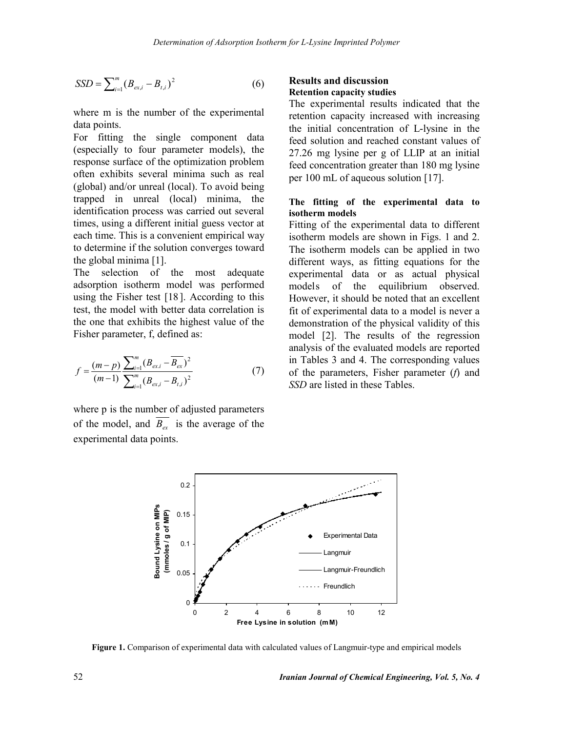$$
SSD = \sum_{i=1}^{m} (B_{ex,i} - B_{t,i})^2
$$
 (6)

where m is the number of the experimental data points.

For fitting the single component data (especially to four parameter models), the response surface of the optimization problem often exhibits several minima such as real (global) and/or unreal (local). To avoid being trapped in unreal (local) minima, the identification process was carried out several times, using a different initial guess vector at each time. This is a convenient empirical way to determine if the solution converges toward the global minima [1].

The selection of the most adequate adsorption isotherm model was performed using the Fisher test  $[18]$ . According to this test, the model with better data correlation is the one that exhibits the highest value of the Fisher parameter, f, defined as:

$$
f = \frac{(m-p)}{(m-1)} \frac{\sum_{i=1}^{m} (B_{ex,i} - \overline{B}_{ex})^2}{\sum_{i=1}^{m} (B_{ex,i} - B_{t,i})^2}
$$
(7)

where p is the number of adjusted parameters of the model, and  $\overline{B_{ex}}$  is the average of the experimental data points.

### **Results and discussion Retention capacity studies**

The experimental results indicated that the retention capacity increased with increasing the initial concentration of L-lysine in the feed solution and reached constant values of 27.26 mg lysine per g of LLIP at an initial feed concentration greater than 180 mg lysine per 100 mL of aqueous solution [17].

### The fitting of the experimental data to isotherm models

Fitting of the experimental data to different isotherm models are shown in Figs. 1 and 2. The isotherm models can be applied in two different ways, as fitting equations for the experimental data or as actual physical equilibrium observed. models of the However, it should be noted that an excellent fit of experimental data to a model is never a demonstration of the physical validity of this model [2]. The results of the regression analysis of the evaluated models are reported in Tables 3 and 4. The corresponding values of the parameters, Fisher parameter  $(f)$  and SSD are listed in these Tables.



Figure 1. Comparison of experimental data with calculated values of Langmuir-type and empirical models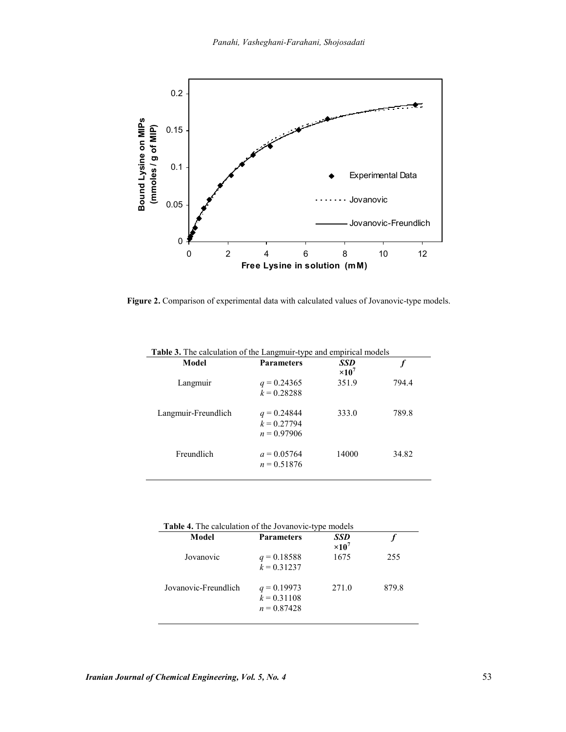

Figure 2. Comparison of experimental data with calculated values of Jovanovic-type models.

| Model               | <b>Parameters</b>                               | SSD<br>$\times 10^7$ |       |
|---------------------|-------------------------------------------------|----------------------|-------|
| Langmuir            | $q = 0.24365$<br>$k = 0.28288$                  | 351.9                | 794.4 |
| Langmuir-Freundlich | $q = 0.24844$<br>$k = 0.27794$<br>$n = 0.97906$ | 333.0                | 789.8 |
| Freundlich          | $a = 0.05764$<br>$n = 0.51876$                  | 14000                | 34.82 |

| <b>Table 4.</b> The calculation of the Jovanovic-type models |                                                 |                      |       |  |  |
|--------------------------------------------------------------|-------------------------------------------------|----------------------|-------|--|--|
| Model                                                        | <b>Parameters</b>                               | SSD<br>$\times 10^7$ |       |  |  |
| Jovanovic                                                    | $q = 0.18588$<br>$k = 0.31237$                  | 1675                 | 255   |  |  |
| Jovanovic-Freundlich                                         | $q = 0.19973$<br>$k = 0.31108$<br>$n = 0.87428$ | 271.0                | 879.8 |  |  |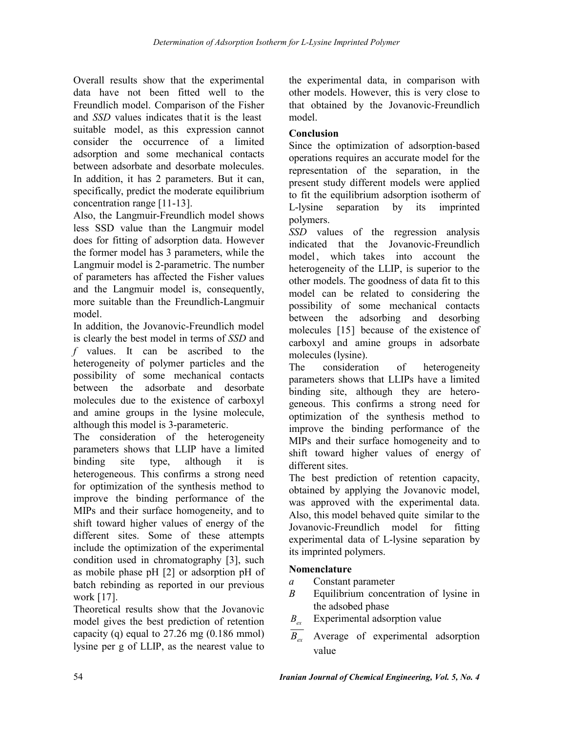Overall results show that the experimental data have not been fitted well to the Freundlich model. Comparison of the Fisher and SSD values indicates that it is the least suitable model, as this expression cannot consider the occurrence of a limited adsorption and some mechanical contacts between adsorbate and desorbate molecules. In addition, it has 2 parameters. But it can, specifically, predict the moderate equilibrium concentration range [11-13].

Also, the Langmuir-Freundlich model shows less SSD value than the Langmuir model does for fitting of adsorption data. However the former model has 3 parameters, while the Langmuir model is 2-parametric. The number of parameters has affected the Fisher values and the Langmuir model is, consequently, more suitable than the Freundlich-Langmuir model

In addition, the Jovanovic-Freundlich model is clearly the best model in terms of SSD and  $f$  values. It can be ascribed to the heterogeneity of polymer particles and the possibility of some mechanical contacts between the adsorbate and desorbate molecules due to the existence of carboxyl and amine groups in the lysine molecule, although this model is 3-parameteric.

The consideration of the heterogeneity parameters shows that LLIP have a limited binding site type, although  $it$  $\overline{1}$ heterogeneous. This confirms a strong need for optimization of the synthesis method to improve the binding performance of the MIPs and their surface homogeneity, and to shift toward higher values of energy of the different sites. Some of these attempts include the optimization of the experimental condition used in chromatography [3], such as mobile phase pH [2] or adsorption pH of batch rebinding as reported in our previous work [17].

Theoretical results show that the Jovanovic model gives the best prediction of retention capacity (q) equal to  $27.26$  mg (0.186 mmol) lysine per g of LLIP, as the nearest value to the experimental data, in comparison with other models. However, this is very close to that obtained by the Jovanovic-Freundlich model.

## **Conclusion**

Since the optimization of adsorption-based operations requires an accurate model for the representation of the separation, in the present study different models were applied to fit the equilibrium adsorption isotherm of by its L-lysine separation imprinted polymers.

SSD values of the regression analysis indicated that the Jovanovic-Freundlich model which takes into account the heterogeneity of the LLIP, is superior to the other models. The goodness of data fit to this model can be related to considering the possibility of some mechanical contacts between the adsorbing and desorbing molecules [15] because of the existence of carboxyl and amine groups in adsorbate molecules (lysine).

The consideration of heterogeneity parameters shows that LLIPs have a limited binding site, although they are heterogeneous. This confirms a strong need for optimization of the synthesis method to improve the binding performance of the MIPs and their surface homogeneity and to shift toward higher values of energy of different sites.

The best prediction of retention capacity, obtained by applying the Jovanovic model, was approved with the experimental data. Also, this model behaved quite similar to the Jovanovic-Freundlich model for fitting experimental data of L-lysine separation by its imprinted polymers.

## **Nomenclature**

- $\overline{a}$ Constant parameter
- $\overline{B}$ Equilibrium concentration of lysine in the adsobed phase
- Experimental adsorption value  $B_{ex}$
- $\overline{B_{\alpha}}$  Average of experimental adsorption value